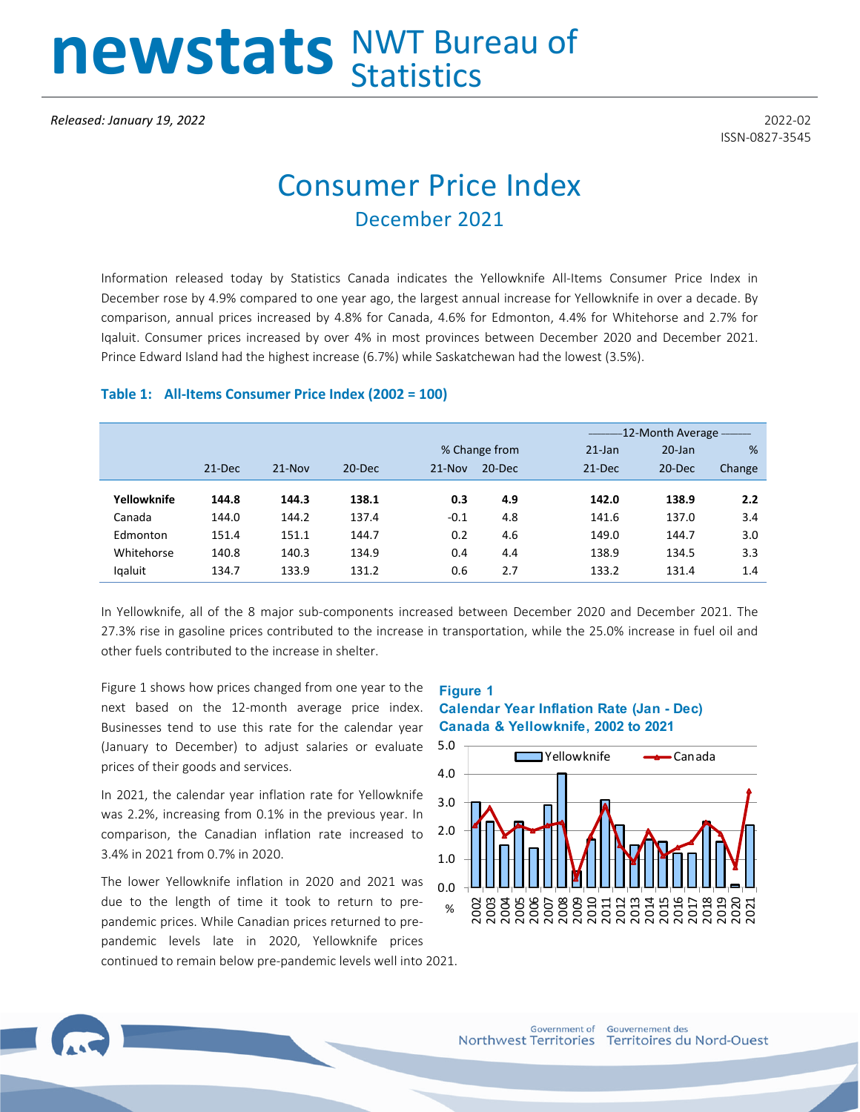# newstats NWT Bureau of

ISSN-0827-3545

## Consumer Price Index December 2021

Information released today by Statistics Canada indicates the Yellowknife All-Items Consumer Price Index in December rose by 4.9% compared to one year ago, the largest annual increase for Yellowknife in over a decade. By comparison, annual prices increased by 4.8% for Canada, 4.6% for Edmonton, 4.4% for Whitehorse and 2.7% for Iqaluit. Consumer prices increased by over 4% in most provinces between December 2020 and December 2021. Prince Edward Island had the highest increase (6.7%) while Saskatchewan had the lowest (3.5%).

#### **Table 1: All-Items Consumer Price Index (2002 = 100)**

|             |        |            |            |          |               |           | -12-Month Average - The Mont- |        |  |  |
|-------------|--------|------------|------------|----------|---------------|-----------|-------------------------------|--------|--|--|
|             |        |            |            |          | % Change from | $21$ -Jan | $20$ -Jan                     | %      |  |  |
|             | 21-Dec | $21 - Nov$ | $20 - Dec$ | $21-Nov$ | $20 - Dec$    | 21-Dec    | 20-Dec                        | Change |  |  |
| Yellowknife | 144.8  | 144.3      | 138.1      | 0.3      | 4.9           | 142.0     | 138.9                         | 2.2    |  |  |
| Canada      | 144.0  | 144.2      | 137.4      | $-0.1$   | 4.8           | 141.6     | 137.0                         | 3.4    |  |  |
|             |        |            |            |          |               |           |                               |        |  |  |
| Edmonton    | 151.4  | 151.1      | 144.7      | 0.2      | 4.6           | 149.0     | 144.7                         | 3.0    |  |  |
| Whitehorse  | 140.8  | 140.3      | 134.9      | 0.4      | 4.4           | 138.9     | 134.5                         | 3.3    |  |  |
| lgaluit     | 134.7  | 133.9      | 131.2      | 0.6      | 2.7           | 133.2     | 131.4                         | 1.4    |  |  |

In Yellowknife, all of the 8 major sub-components increased between December 2020 and December 2021. The 27.3% rise in gasoline prices contributed to the increase in transportation, while the 25.0% increase in fuel oil and other fuels contributed to the increase in shelter.

Figure 1 shows how prices changed from one year to the next based on the 12-month average price index. Businesses tend to use this rate for the calendar year (January to December) to adjust salaries or evaluate prices of their goods and services.

In 2021, the calendar year inflation rate for Yellowknife was 2.2%, increasing from 0.1% in the previous year. In comparison, the Canadian inflation rate increased to 3.4% in 2021 from 0.7% in 2020.

The lower Yellowknife inflation in 2020 and 2021 was due to the length of time it took to return to prepandemic prices. While Canadian prices returned to prepandemic levels late in 2020, Yellowknife prices continued to remain below pre-pandemic levels well into 2021.

#### **Figure 1 Calendar Year Inflation Rate (Jan - Dec) Canada & Yellowknife, 2002 to 2021**